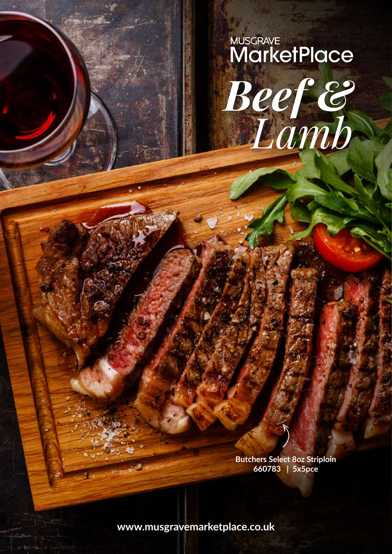# **MUSCRAVE**<br>MarketPlace Beef &

**Butchers Select 8oz Striploin** 660783 | 5x5pce

www.musgravemarketplace.co.uk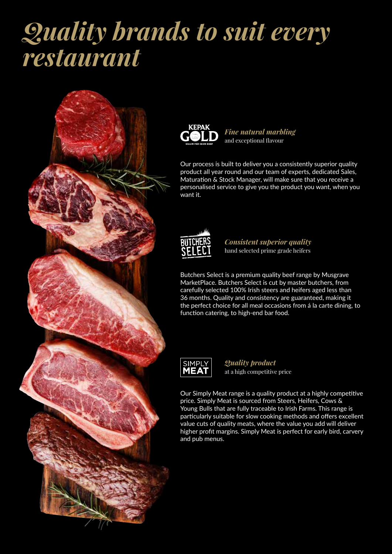# *Quality brands to suit every restaurant*





*Fine natural marbling* and exceptional flavour

Our process is built to deliver you a consistently superior quality product all year round and our team of experts, dedicated Sales, Maturation & Stock Manager, will make sure that you receive a personalised service to give you the product you want, when you want it.



*Consistent superior quality* hand selected prime grade heifers

Butchers Select is a premium quality beef range by Musgrave MarketPlace. Butchers Select is cut by master butchers, from carefully selected 100% Irish steers and heifers aged less than 36 months. Quality and consistency are guaranteed, making it the perfect choice for all meal occasions from á la carte dining, to function catering, to high-end bar food.



*Quality product* at a high competitive price

Our Simply Meat range is a quality product at a highly competitive price. Simply Meat is sourced from Steers, Heifers, Cows & Young Bulls that are fully traceable to Irish Farms. This range is particularly suitable for slow cooking methods and offers excellent value cuts of quality meats, where the value you add will deliver higher profit margins. Simply Meat is perfect for early bird, carvery and pub menus.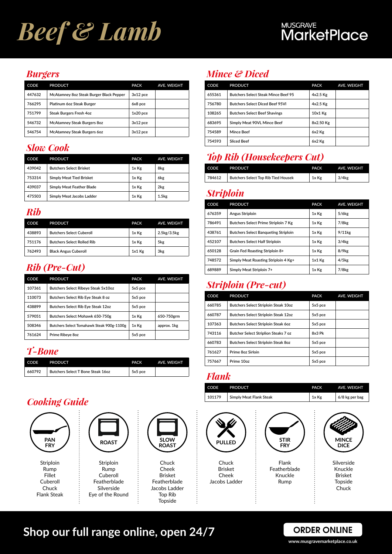# *Beef & Lamb*

#### *Burgers*

| CODE   | <b>PRODUCT</b>                          | <b>PACK</b> | <b>AVE. WEIGHT</b> |
|--------|-----------------------------------------|-------------|--------------------|
| 447632 | McAtamney 8oz Steak Burger Black Pepper | 3x12 pce    |                    |
| 766295 | Platinum 60z Steak Burger               | 6x8 pce     |                    |
| 751799 | <b>Steak Burgers Fresh 4oz</b>          | $1x20$ pce  |                    |
| 546732 | <b>McAtamney Steak Burgers 8oz</b>      | 3x12 pce    |                    |
| 546754 | <b>McAtamney Steak Burgers 60z</b>      | 3x12 pce    |                    |

#### *Slow Cook*

| CODE   | <b>PRODUCT</b>                  | <b>PACK</b> | <b>AVE. WEIGHT</b> |
|--------|---------------------------------|-------------|--------------------|
| 439042 | <b>Butchers Select Brisket</b>  | 1x Kg       | 8kg                |
| 753314 | <b>Simply Meat Tied Brisket</b> | 1x Kg       | 6kg                |
| 439037 | Simply Meat Feather Blade       | 1x Kg       | 2kg                |
| 475503 | Simply Meat Jacobs Ladder       | 1x Kg       | 1.5 <sub>kg</sub>  |

#### *Rib*

| CODE   | <b>PRODUCT</b>                    | <b>PACK</b> | AVE. WEIGHT |
|--------|-----------------------------------|-------------|-------------|
| 438893 | <b>Butchers Select Cuberoll</b>   | 1x Kg       | 2.5kg/3.5kg |
| 751176 | <b>Butchers Select Rolled Rib</b> | 1x Kg       | 5kg         |
| 762493 | <b>Black Angus Cuberoll</b>       | $1x1$ Kg    | 3kg         |

# *Rib (Pre-Cut)*

| CODE   | <b>PRODUCT</b>                            | <b>PACK</b> | <b>AVE. WEIGHT</b> |
|--------|-------------------------------------------|-------------|--------------------|
| 107361 | Butchers Select Ribeye Steak 5x10oz       | 5x5 pce     |                    |
| 110073 | Butchers Select Rib Eye Steak 8 oz        | 5x5 pce     |                    |
| 438899 | Butchers Select Rib Eye Steak 12oz        | 5x5 pce     |                    |
| 579051 | Butchers Select Mohawk 650-750g           | 1x Kg       | 650-750grm         |
| 508346 | Butchers Select Tomahawk Steak 900g-1100g | 1x Kg       | approx. 1kg        |
| 761624 | Prime Ribeve 8oz                          | 5x5 pce     |                    |

#### *T-Bone*

| CODE   | <b>PRODUCT</b>                    | <b>PACK</b> | <b>AVE, WEIGHT</b> |
|--------|-----------------------------------|-------------|--------------------|
| 660792 | Butchers Select T Bone Steak 160z | 5x5 pce     |                    |

# *Cooking Guide*



## *Mince & Diced*

| CODE   | <b>PRODUCT</b>                             | <b>PACK</b> | <b>AVE. WEIGHT</b> |
|--------|--------------------------------------------|-------------|--------------------|
| 655361 | <b>Butchers Select Steak Mince Beef 95</b> | $4x2.5$ Kg  |                    |
| 756780 | <b>Butchers Select Diced Beef 95VI</b>     | 4x2.5 Kg    |                    |
| 108265 | <b>Butchers Select Beef Shavings</b>       | $10x1$ Kg   |                    |
| 683695 | Simply Meat 90VL Mince Beef                | 8x2.50 Kg   |                    |
| 754589 | Mince Beef                                 | 6x2 Kg      |                    |
| 754593 | <b>Sliced Beef</b>                         | 6x2 Kg      |                    |

## *Top Rib (Housekeepers Cut)*

| CODE   | <b>PRODUCT</b>                             | <b>PACK</b> | <b>AVE, WEIGHT</b>  |
|--------|--------------------------------------------|-------------|---------------------|
| 784612 | <b>Butchers Select Top Rib Tied Housek</b> | 1x Kg       | $3/4$ <sub>kg</sub> |

#### *Striploin*

| CODE   | <b>PRODUCT</b>                              | <b>PACK</b> | <b>AVE. WEIGHT</b>  |
|--------|---------------------------------------------|-------------|---------------------|
| 676359 | Angus Striploin                             | 1x Kg       | 5/6 <sub>kg</sub>   |
| 786491 | <b>Butchers Select Prime Striploin 7 Kg</b> | 1x Kg       | 7/8 <sub>kg</sub>   |
| 438761 | <b>Butchers Select Bangueting Striploin</b> | 1x Kg       | $9/11$ kg           |
| 452107 | <b>Butchers Select Half Striploin</b>       | 1x Kg       | $3/4$ <sub>kg</sub> |
| 650128 | Grain Fed Roasting Striploin 8+             | 1x Kg       | 8/9kg               |
| 748572 | Simply Meat Roasting Striploin 4 Kg+        | 1x1 Kg      | $4/5$ <sub>kg</sub> |
| 689889 | Simply Meat Striploin 7+                    | 1x Kg       | 7/8 <sub>kg</sub>   |

## *Striploin (Pre-cut)*

| <b>CODE</b> | <b>PRODUCT</b>                              | <b>PACK</b> | <b>AVE. WEIGHT</b> |
|-------------|---------------------------------------------|-------------|--------------------|
| 660785      | <b>Butchers Select Striploin Steak 10oz</b> | 5x5 pce     |                    |
| 660787      | <b>Butchers Select Striploin Steak 12oz</b> | 5x5 pce     |                    |
| 107363      | <b>Butchers Select Striploin Steak 60z</b>  | 5x5 pce     |                    |
| 743116      | <b>Butcher Select Striplion Steaks 7 oz</b> | 8x3 Pk      |                    |
| 660783      | <b>Butchers Select Striploin Steak 8oz</b>  | 5x5 pce     |                    |
| 761627      | Prime 8oz Sirloin                           | 5x5 pce     |                    |
| 757667      | Prime 10oz                                  | 5x5 pce     |                    |

#### *Flank*

 $\vdots$ 

| CODE   | <b>PRODUCT</b>          | <b>PACK</b> | <b>AVE, WEIGHT</b> |
|--------|-------------------------|-------------|--------------------|
| 101179 | Simply Meat Flank Steak | 1x Kg       | 6/8 kg per bag     |



# **Shop our full range online, open 24/7**

#### **ORDER ONLINE www.musgravemarketplace.co.uk**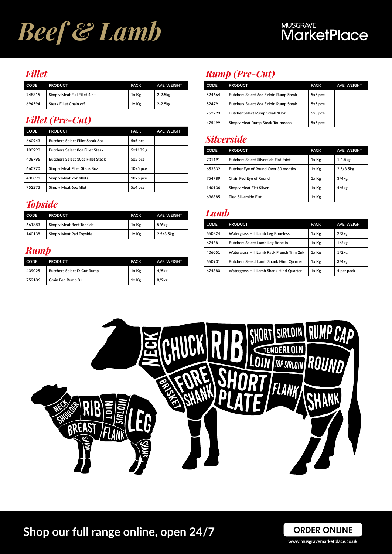# *Beef & Lamb*

#### *Fillet*

| CODE   | <b>PRODUCT</b>               | <b>PACK</b> | <b>AVE, WEIGHT</b>    |
|--------|------------------------------|-------------|-----------------------|
| 748315 | Simply Meat Full Fillet 4lb+ | 1x Kg       | $2-2.5$ <sub>kg</sub> |
| 694594 | Steak Fillet Chain off       | 1x Kg       | $2 - 2.5kg$           |

### *Fillet (Pre-Cut)*

| CODE   | <b>PRODUCT</b>                          | <b>PACK</b> | <b>AVE. WEIGHT</b> |
|--------|-----------------------------------------|-------------|--------------------|
| 660943 | <b>Butchers Select Fillet Steak 60z</b> | 5x5 pce     |                    |
| 103990 | <b>Butchers Select 8oz Fillet Steak</b> | 5x1135 g    |                    |
| 438796 | Butchers Select 10oz Fillet Steak       | 5x5 pce     |                    |
| 660770 | Simply Meat Fillet Steak 8oz            | $10x5$ pce  |                    |
| 438891 | Simply Meat 7oz fillets                 | $10x5$ pce  |                    |
| 752273 | Simply Meat 60z fillet                  | 5x4 pce     |                    |

# *Topside*

| CODE   | <b>PRODUCT</b>                  | <b>PACK</b> | AVE. WEIGHT             |
|--------|---------------------------------|-------------|-------------------------|
| 661883 | <b>Simply Meat Beef Topside</b> | 1x Kg       | $5/6$ <sub>kg</sub>     |
| 140138 | Simply Meat Pad Topside         | 1x Kg       | $2.5/3.5$ <sub>kg</sub> |

#### *Rump*

| CODE   | <b>PRODUCT</b>                    | <b>PACK</b> | <b>AVE, WEIGHT</b>  |
|--------|-----------------------------------|-------------|---------------------|
| 439025 | <b>Butchers Select D-Cut Rump</b> | 1x Kg       | $4/5$ kg            |
| 752186 | Grain Fed Rump 8+                 | 1x Kg       | $8/9$ <sub>kg</sub> |

# *Rump (Pre-Cut)*

| <b>CODE</b> | <b>PRODUCT</b>                         | <b>PACK</b> | <b>AVE. WEIGHT</b> |
|-------------|----------------------------------------|-------------|--------------------|
| 524664      | Butchers Select 6oz Sirloin Rump Steak | 5x5 pce     |                    |
| 524791      | Butchers Select 8oz Sirloin Rump Steak | 5x5 pce     |                    |
| 752293      | Butcher Select Rump Steak 10oz         | 5x5 pce     |                    |
| 475499      | Simply Meat Rump Steak Tournedos       | 5x5 pce     |                    |

#### *Silverside*

| CODE   | <b>PRODUCT</b>                               | <b>PACK</b> | <b>AVE. WEIGHT</b>      |
|--------|----------------------------------------------|-------------|-------------------------|
| 701191 | <b>Butchers Select Silverside Flat Joint</b> | 1x Kg       | $1-1.5$ $kg$            |
| 653832 | Butcher Eye of Round Over 30 months          | 1x Kg       | $2.5/3.5$ <sub>kg</sub> |
| 754789 | Grain Fed Eye of Round                       | 1x Kg       | 3/4kg                   |
| 140136 | Simply Meat Flat Silver                      | 1x Kg       | $4/5$ <sub>kg</sub>     |
| 696885 | Tied Silverside Flat                         | 1x Kg       |                         |

#### *Lamb*

| <b>CODE</b> | <b>PRODUCT</b>                                 | <b>PACK</b> | <b>AVE. WEIGHT</b>  |
|-------------|------------------------------------------------|-------------|---------------------|
| 660824      | <b>Watergrass Hill Lamb Leg Boneless</b>       | 1x Kg       | $2/3$ <sub>kg</sub> |
| 674381      | Butchers Select Lamb Leg Bone In               | 1x Kg       | 1/2kg               |
| 406051      | Watergrass Hill Lamb Rack French Trim 2pk      | 1x Kg       | 1/2kg               |
| 660931      | <b>Butchers Select Lamb Shank Hind Quarter</b> | 1x Kg       | $3/4$ <sub>kg</sub> |
| 674380      | Watergrass Hill Lamb Shank Hind Quarter        | 1x Kg       | 4 per pack          |





**www.musgravemarketplace.co.uk**